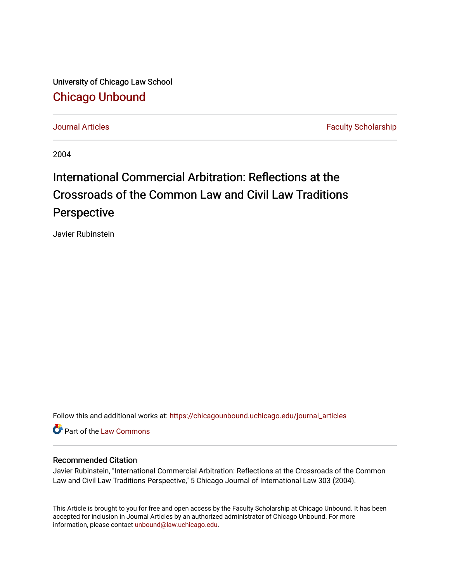University of Chicago Law School [Chicago Unbound](https://chicagounbound.uchicago.edu/)

[Journal Articles](https://chicagounbound.uchicago.edu/journal_articles) **Faculty Scholarship Journal Articles** 

2004

# International Commercial Arbitration: Reflections at the Crossroads of the Common Law and Civil Law Traditions Perspective

Javier Rubinstein

Follow this and additional works at: [https://chicagounbound.uchicago.edu/journal\\_articles](https://chicagounbound.uchicago.edu/journal_articles?utm_source=chicagounbound.uchicago.edu%2Fjournal_articles%2F1927&utm_medium=PDF&utm_campaign=PDFCoverPages) 

Part of the [Law Commons](http://network.bepress.com/hgg/discipline/578?utm_source=chicagounbound.uchicago.edu%2Fjournal_articles%2F1927&utm_medium=PDF&utm_campaign=PDFCoverPages)

#### Recommended Citation

Javier Rubinstein, "International Commercial Arbitration: Reflections at the Crossroads of the Common Law and Civil Law Traditions Perspective," 5 Chicago Journal of International Law 303 (2004).

This Article is brought to you for free and open access by the Faculty Scholarship at Chicago Unbound. It has been accepted for inclusion in Journal Articles by an authorized administrator of Chicago Unbound. For more information, please contact [unbound@law.uchicago.edu](mailto:unbound@law.uchicago.edu).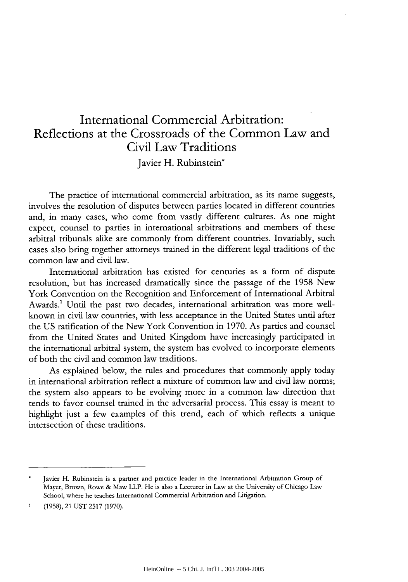# International Commercial Arbitration: Reflections at the Crossroads of the Common Law and Civil Law Traditions

Javier H. Rubinstein\*

The practice of international commercial arbitration, as its name suggests, involves the resolution of disputes between parties located in different countries and, in many cases, who come from vastly different cultures. As one might expect, counsel to parties in international arbitrations and members of these arbitral tribunals alike are commonly from different countries. Invariably, such cases also bring together attorneys trained in the different legal traditions of the common law and civil law.

International arbitration has existed for centuries as a form of dispute resolution, but has increased dramatically since the passage of the 1958 New York Convention on the Recognition and Enforcement of International Arbitral Awards.' Until the past two decades, international arbitration was more wellknown in civil law countries, with less acceptance in the United States until after the US ratification of the New York Convention in 1970. As parties and counsel from the United States and United Kingdom have increasingly participated in the international arbitral system, the system has evolved to incorporate elements of both the civil and common law traditions.

As explained below, the rules and procedures that commonly apply today in international arbitration reflect a mixture of common law and civil law norms; the system also appears to be evolving more in a common law direction that tends to favor counsel trained in the adversarial process. This essay is meant to highlight just a few examples of this trend, each of which reflects a unique intersection of these traditions.

Javier H. Rubinstein is a partner and practice leader in the International Arbitration Group of Mayer, Brown, Rowe & Maw LLP. He is also a Lecturer in Law at the University of Chicago Law School, where he teaches International Commercial Arbitration and Litigation.

<sup>1 (1958), 21</sup> UST 2517 (1970).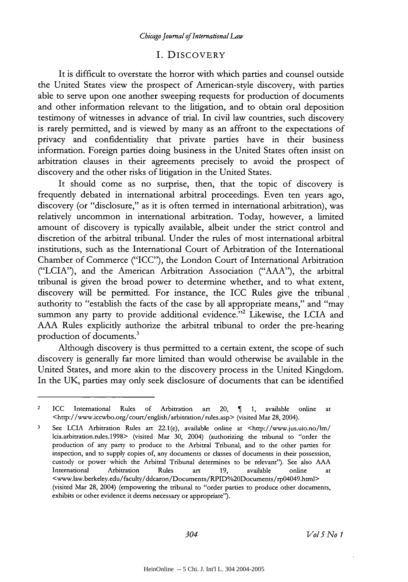#### I. DISCOVERY

It is difficult to overstate the horror with which parties and counsel outside the United States view the prospect of American-style discovery, with parties able to serve upon one another sweeping requests for production of documents and other information relevant to the litigation, and to obtain oral deposition testimony of witnesses in advance of trial. In civil law countries, such discovery is rarely permitted, and is viewed by many as an affront to the expectations of privacy and confidentiality that private parties have in their business information. Foreign parties doing business in the United States often insist on arbitration clauses in their agreements precisely to avoid the prospect of discovery and the other risks of litigation in the United States.

It should come as no surprise, then, that the topic of discovery is frequently debated in international arbitral proceedings. Even ten years ago, discovery (or "disclosure," as it is often termed in international arbitration), was relatively uncommon in international arbitration. Today, however, a limited amount of discovery is typically available, albeit under the strict control and discretion of the arbitral tribunal. Under the rules of most international arbitral institutions, such as the International Court of Arbitration of the International Chamber of Commerce ("ICC"), the London Court of International Arbitration ("LCIA"), and the American Arbitration Association ("AAA"), the arbitral tribunal is given the broad power to determine whether, and to what extent, discovery will be permitted. For instance, the ICC Rules give the tribunal authority to "establish the facts of the case by all appropriate means," and "may summon any party to provide additional evidence."<sup>2</sup> Likewise, the LCIA and AAA Rules explicitly authorize the arbitral tribunal to order the pre-hearing production of documents.<sup>3</sup>

Although discovery is thus permitted to a certain extent, the scope of such discovery is generally far more limited than would otherwise be available in the United States, and more akin to the discovery process in the United Kingdom. In the UK, parties may only seek disclosure of documents that can be identified

<sup>2</sup> ICC International Rules of Arbitration art 20, **1,** available online at <http://www.iccwbo.org/court/englsh/arbitration/rules.asp> (visited Mar 28, 2004).

**<sup>3</sup>** See LCIA Arbitration Rules art 22.1(e), available online at <http://www.jus.uio.no/lm/ lcia.arbitration.rules.1998> (visited Mar 30, 2004) (authorizing the tribunal to "order the production of any party to produce to the Arbitral Tribunal, and to the other parties for inspection, and to supply copies of, any documents or classes of documents in their possession, custody or power which the Arbitral Tribunal determines to be relevant"). See also AAA International Arbitration Rules art 19, available online at <www.law.berkeley.edu/faculty/ddcaron/Documents/RPID/o20Documents/rp04049.html> (visited Mar 28, 2004) (empowering the tribunal to "order parties to produce other documents, exhibits or other evidence it deems necessary or appropriate").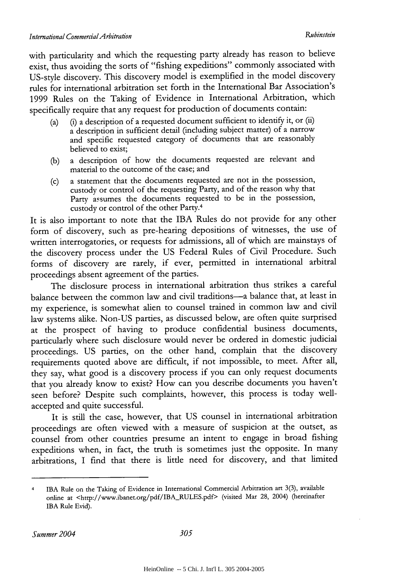with particularity and which the requesting party already has reason to believe exist, thus avoiding the sorts of "fishing expeditions" commonly associated with US-style discovery. This discovery model is exemplified in the model discovery rules for international arbitration set forth in the International Bar Association's 1999 Rules on the Taking of Evidence in International Arbitration, which specifically require that any request for production of documents contain:

- (a) (i) a description of a requested document sufficient to identify it, or (ii) a description in sufficient detail (including subject matter) of a narrow and specific requested category of documents that are reasonably believed to exist;
- (b) a description of how the documents requested are relevant and material to the outcome of the case; and
- (c) a statement that the documents requested are not in the possession, custody or control of the requesting Party, and of the reason why that Party assumes the documents requested to be in the possession, custody or control of the other Party.<sup>4</sup>

It is also important to note that the IBA Rules do not provide for any other form of discovery, such as pre-hearing depositions of witnesses, the use of written interrogatories, or requests for admissions, all of which are mainstays of the discovery process under the US Federal Rules of Civil Procedure. Such forms of discovery are rarely, if ever, permitted in international arbitral proceedings absent agreement of the parties.

The disclosure process in international arbitration thus strikes a careful balance between the common law and civil traditions-a balance that, at least in my experience, is somewhat alien to counsel trained in common law and civil law systems alike. Non-US parties, as discussed below, are often quite surprised at the prospect of having to produce confidential business documents, particularly where such disclosure would never be ordered in domestic judicial proceedings. US parties, on the other hand, complain that the discovery requirements quoted above are difficult, if not impossible, to meet. After all, they say, what good is a discovery process if you can only request documents that you already know to exist? How can you describe documents you haven't seen before? Despite such complaints, however, this process is today wellaccepted and quite successful.

It is still the case, however, that US counsel in international arbitration proceedings are often viewed with a measure of suspicion at the outset, as counsel from other countries presume an intent to engage in broad fishing expeditions when, in fact, the truth is sometimes just the opposite. In many arbitrations, I find that there is little need for discovery, and that limited

<sup>4</sup>IBA Rule on the Taking of Evidence in International Commercial Arbitration art 3(3), available online at <http://www.ibanet.org/pdf/IBA\_RULES.pdf> (visited Mar 28, 2004) (hereinafter IBA Rule Evid).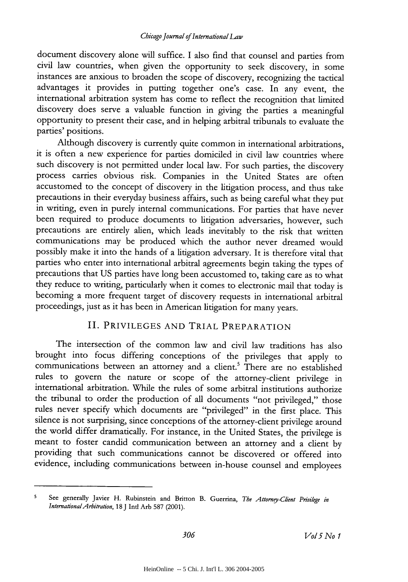document discovery alone will suffice. I also find that counsel and parties from civil law countries, when given the opportunity to seek discovery, in some instances are anxious to broaden the scope of discovery, recognizing the tactical advantages it provides in putting together one's case. In any event, the international arbitration system has come to reflect the recognition that limited discovery does serve a valuable function in giving the parties a meaningful opportunity to present their case, and in helping arbitral tribunals to evaluate the parties' positions.

Although discovery is currently quite common in international arbitrations, it is often a new experience for parties domiciled in civil law countries where such discovery is not permitted under local law. For such parties, the discovery process carries obvious risk. Companies in the United States are often accustomed to the concept of discovery in the litigation process, and thus take precautions in their everyday business affairs, such as being careful what they put in writing, even in purely internal communications. For parties that have never been required to produce documents to litigation adversaries, however, such precautions are entirely alien, which leads inevitably to the risk that written communications may be produced which the author never dreamed would possibly make it into the hands of a litigation adversary. It is therefore vital that parties who enter into international arbitral agreements begin taking the types of precautions that US parties have long been accustomed to, taking care as to what they reduce to writing, particularly when it comes to electronic mail that today is becoming a more frequent target of discovery requests in international arbitral proceedings, just as it has been in American litigation for many years.

### II. PRIVILEGES AND TRIAL PREPARATION

The intersection of the common law and civil law traditions has also brought into focus differing conceptions of the privileges that apply to communications between an attorney and a client.' There are no established rules to govern the nature or scope of the attorney-client privilege in international arbitration. While the rules of some arbitral institutions authorize the tribunal to order the production of all documents "not privileged," those rules never specify which documents are "privileged" in the first place. This silence is not surprising, since conceptions of the attorney-client privilege around the world differ dramatically. For instance, in the United States, the privilege is meant to foster candid communication between an attorney and a client by providing that such communications cannot be discovered or offered into evidence, including communications between in-house counsel and employees

**<sup>5</sup>**See generally Javier H. Rubinstein **and** Britton B. Guerrina, *The Attorney-Cfient Privilege in InternationalArbitrafion,* **18 J Intl** Arb 587 (2001).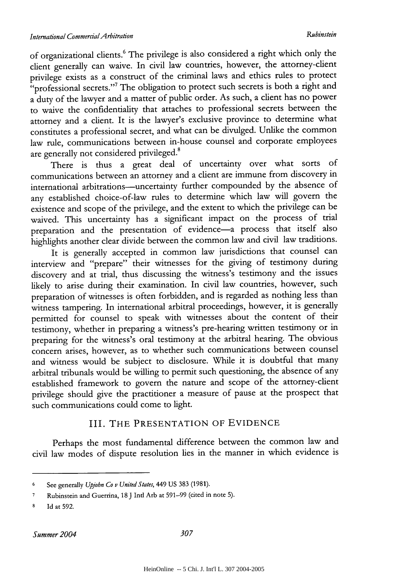of organizational clients.6 The privilege is also considered a right which only the client generally can waive. In civil law countries, however, the attorney-client privilege exists as a construct of the criminal laws and ethics rules to protect "professional secrets."<sup>7</sup> The obligation to protect such secrets is both a right and a duty of the lawyer and a matter of public order. As such, a client has no power to waive the confidentiality that attaches to professional secrets between the attorney and a client. It is the lawyer's exclusive province to determine what constitutes a professional secret, and what can be divulged. Unlike the common law rule, communications between in-house counsel and corporate employees are generally not considered privileged.<sup>8</sup>

There is thus a great deal of uncertainty over what sorts of communications between an attorney and a client are immune from discovery in international arbitrations-uncertainty further compounded by the absence of any established choice-of-law rules to determine which law will govern the existence and scope of the privilege, and the extent to which the privilege can be waived. This uncertainty has a significant impact on the process of trial preparation and the presentation of evidence-a process that itself also highlights another clear divide between the common law and civil law traditions.

It is generally accepted in common law jurisdictions that counsel can interview and "prepare" their witnesses for the giving of testimony during discovery and at trial, thus discussing the witness's testimony and the issues likely to arise during their examination. In civil law countries, however, such preparation of witnesses is often forbidden, and is regarded as nothing less than witness tampering. In international arbitral proceedings, however, it is generally permitted for counsel to speak with witnesses about the content of their testimony, whether in preparing a witness's pre-hearing written testimony or in preparing for the witness's oral testimony at the arbitral hearing. The obvious concern arises, however, as to whether such communications between counsel and witness would be subject to disclosure. While it is doubtful that many arbitral tribunals would be willing to permit such questioning, the absence of any established framework to govern the nature and scope of the attorney-client privilege should give the practitioner a measure of pause at the prospect that such communications could come to light.

#### III. THE PRESENTATION OF EVIDENCE

Perhaps the most fundamental difference between the common law and civil law modes of dispute resolution lies in the manner in which evidence is

<sup>6</sup>See generally *Upjohn Co v United States,* 449 US 383 (1981).

**<sup>7</sup>**Rubinstein and Guerrina, **18** J Intl Arb at 591-99 (cited in note 5).

<sup>8</sup> Id at 592.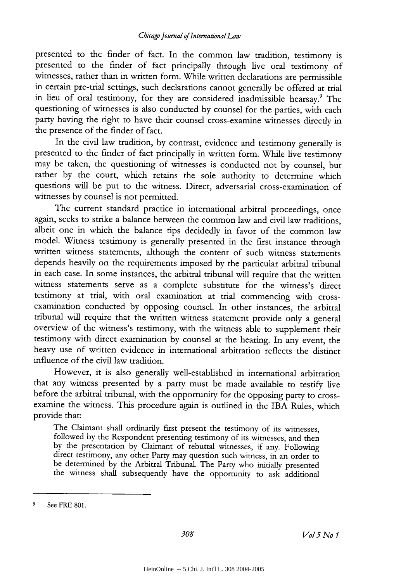presented to the finder of fact. In the common law tradition, testimony is presented to the finder of fact principally through live oral testimony of witnesses, rather than in written form. While written declarations are permissible in certain pre-trial settings, such declarations cannot generally be offered at trial in lieu of oral testimony, for they are considered inadmissible hearsay.<sup>9</sup> The questioning of witnesses is also conducted by counsel for the parties, with each party having the right to have their counsel cross-examine witnesses directly in the presence of the finder of fact.

In the civil law tradition, by contrast, evidence and testimony generally is presented to the finder of fact principally in written form. While live testimony may be taken, the questioning of witnesses is conducted not by counsel, but rather by the court, which retains the sole authority to determine which questions will be put to the witness. Direct, adversarial cross-examination of witnesses by counsel is not permitted.

The current standard practice in international arbitral proceedings, once again, seeks to strike a balance between the common law and civil law traditions, albeit one in which the balance tips decidedly in favor of the common law model. Witness testimony is generally presented in the first instance through written witness statements, although the content of such witness statements depends heavily on the requirements imposed by the particular arbitral tribunal in each case. In some instances, the arbitral tribunal will require that the written witness statements serve as a complete substitute for the witness's direct testimony at trial, with oral examination at trial commencing with crossexamination conducted by opposing counsel. In other instances, the arbitral tribunal will require that the written witness statement provide only a general overview of the witness's testimony, with the witness able to supplement their testimony with direct examination by counsel at the hearing. In any event, the heavy use of written evidence in international arbitration reflects the distinct influence of the civil law tradition.

However, it is also generally well-established in international arbitration that any witness presented by a party must be made available to testify live before the arbitral tribunal, with the opportunity for the opposing party to crossexamine the witness. This procedure again is outlined in the IBA Rules, which provide that:

The Claimant shall ordinarily first present the testimony of its witnesses, followed by the Respondent presenting testimony of its witnesses, and then by the presentation by Claimant of rebuttal witnesses, if any. Following direct testimony, any other Party may question such witness, in an order to be determined by the Arbitral Tribunal. The Party who initially presented the witness shall subsequendy have the opportunity to ask additional

**<sup>9</sup>** See FRE **801.**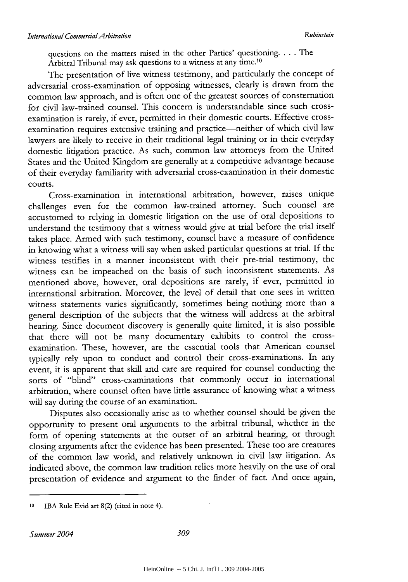questions on the matters raised in the other Parties' questioning.. . . The Arbitral Tribunal may ask questions to a witness at any time.<sup>10</sup>

The presentation of live witness testimony, and particularly the concept of adversarial cross-examination of opposing witnesses, clearly is drawn from the common law approach, and is often one of the greatest sources of consternation for civil law-trained counsel. This concern is understandable since such crossexamination is rarely, if ever, permitted in their domestic courts. Effective crossexamination requires extensive training and practice-neither of which civil law lawyers are likely to receive in their traditional legal training or in their everyday domestic litigation practice. As such, common law attorneys from the United States and the United Kingdom are generally at a competitive advantage because of their everyday familiarity with adversarial cross-examination in their domestic courts.

Cross-examination in international arbitration, however, raises unique challenges even for the common law-trained attorney. Such counsel are accustomed to relying in domestic litigation on the use of oral depositions to understand the testimony that a witness would give at trial before the trial itself takes place. Armed with such testimony, counsel have a measure of confidence in knowing what a witness will say when asked particular questions at trial. If the witness testifies in a manner inconsistent with their pre-trial testimony, the witness can be impeached on the basis of such inconsistent statements. As mentioned above, however, oral depositions are rarely, if ever, permitted in international arbitration. Moreover, the level of detail that one sees in written witness statements varies significantly, sometimes being nothing more than a general description of the subjects that the witness will address at the arbitral hearing. Since document discovery is generally quite limited, it is also possible that there will not be many documentary exhibits to control the crossexamination. These, however, are the essential tools that American counsel typically rely upon to conduct and control their cross-examinations. In any event, it is apparent that skill and care are required for counsel conducting the sorts of "blind" cross-examinations that commonly occur in international arbitration, where counsel often have little assurance of knowing what a witness will say during the course of an examination.

Disputes also occasionally arise as to whether counsel should be given the opportunity to present oral arguments to the arbitral tribunal, whether in the form of opening statements at the outset of an arbitral hearing, or through closing arguments after the evidence has been presented. These too are creatures of the common law world, and relatively unknown in civil law litigation. As indicated above, the common law tradition relies more heavily on the use of oral presentation of evidence and argument to the finder of fact. And once again,

**<sup>10</sup>** IBA Rule Evid art 8(2) (cited in note 4).